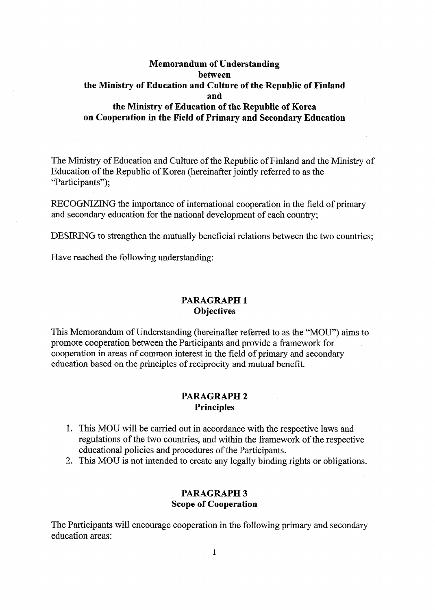## **Memorandum of Understanding between the Ministry ofEducation and Culture ofthe Republic of Finland and the Ministry ofEducation ofthe Republic of Korea on** Cooperation in the Field of Primary and Secondary Education

The Ministry of Education and Culture of the Republic of Finland and the Ministry of Education of the Republic of Korea (hereinafter jointly referred to as the "Participants");

RECOGNIZING the importance of international cooperation in the field of primary and secondary education for the national development of each country;

DESIRING to strengthen the mutually beneficial relations between the two countries;

Have reached the following understanding:

### **PARAGRAPH 1 Objectives**

This Memorandum of Understanding (hereinafter referred to as the "MOU") aims to promote cooperation between the Participants and provide a framework for cooperation in areas of common interest in the field of primary and secondary education based on the principles of reciprocity and mutual benefit.

## **PARAGRAPH 2 Principles**

- 1. This MOU will be carried out in accordance with the respective laws and regulations of the two countries, and within the framework of the respective educational policies and procedures of the Participants.
- 2. This MOU is not intended to create any legally binding rights or obligations.

#### **PARAGRAPH 3 Scope of Cooperation**

The Participants will encourage cooperation in the following primary and secondary education areas: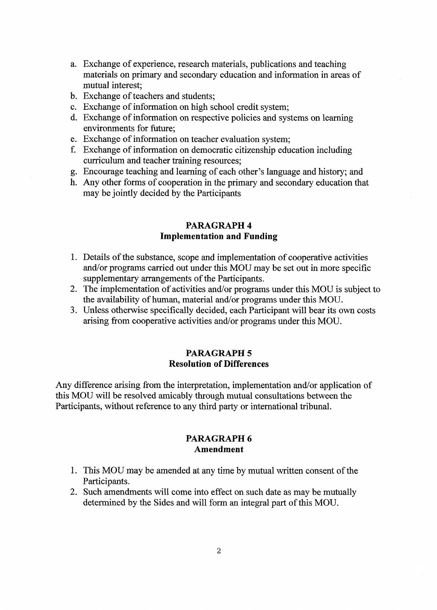- a. Exchange of experience, research materials, publications and teaching materials on primary and secondary education and information in areas of mutual interest;
- b. Exchange of teachers and students;
- c. Exchange of information on high school credit system;
- d. Exchange of information on respective policies and systems on learning environments for future;
- e. Exchange of information on teacher evaluation system;
- f. Exchange of information on democratic citizenship education including curriculum and teacher training resources;
- g. Encourage teaching and leaming of each other's language and history; and
- h. Any other forms of cooperation in the primary and secondary education that may he jointly decided by the Participants

#### **PARAGRAPH 4 Implementation and Funding**

- 1. Details of the substance, scope and implementation of cooperative activities and/or programs carried out under this MOU may be set out in more specific supplementary arrangements of the Participants.
- 2. The implementation of activities and/or programs under this MOU is subject to the availability of human, material and/or programs under this MOU.
- 3. Unless otherwise specifically decided, each Participant will bear its own costs arising from cooperative activities and/or programs under this MOU.

## **PARAGRAPH 5 Resolution of Differences**

Any difference arising from the interpretation, implementation and/or application of this MOU will be resolved amicably through mutual consultations between the Participants, without reference to any third party or international tribunal.

#### **PARAGRAPH 6 Amendment**

- 1. This MOU may be amended at any time by mutual written consent of the Participants.
- 2. Such amendments will come into effect on such date as may be mutually determined by the Sides and will form an integral part of this MOU.